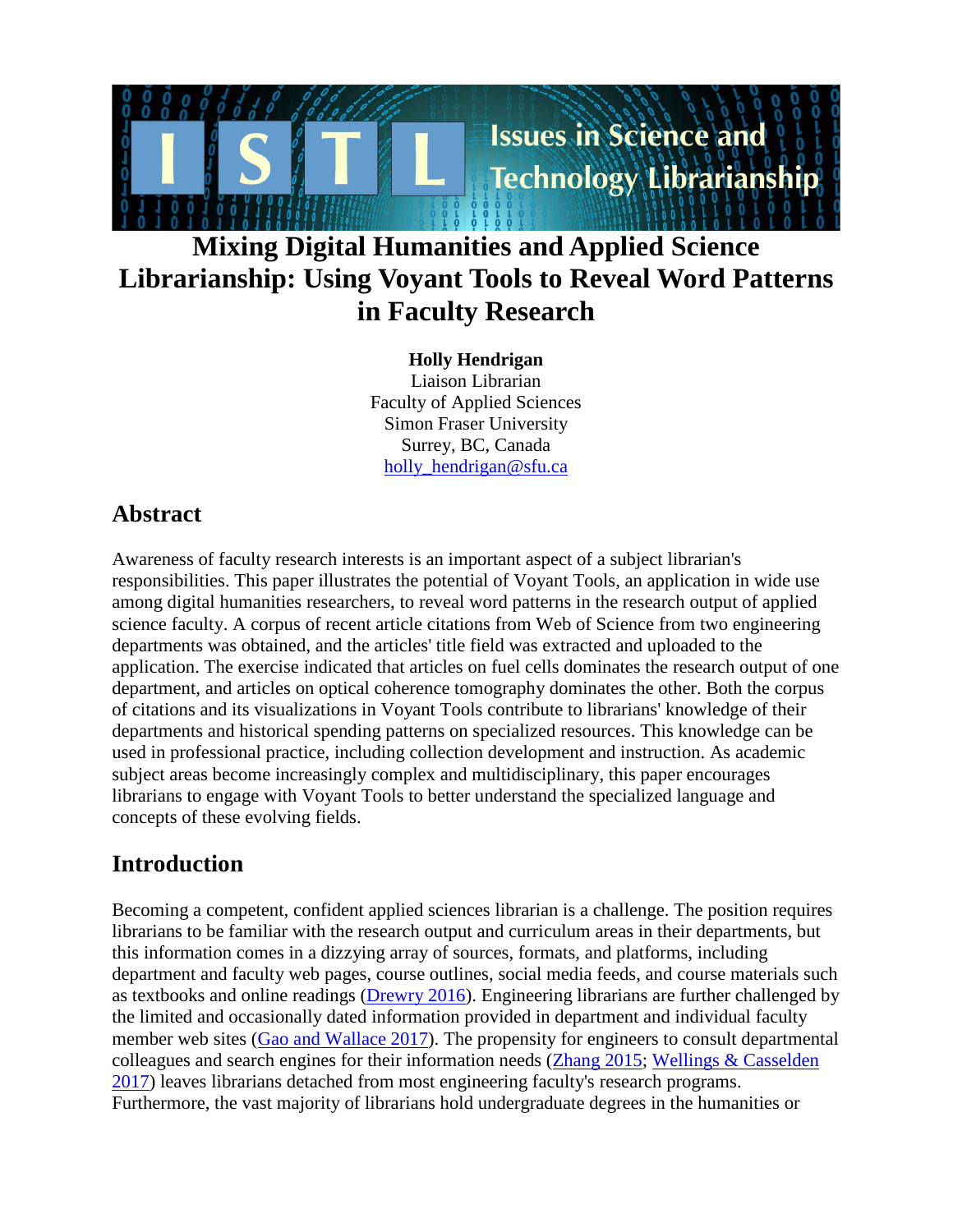# **Mixing Digital Humanities and Applied Science Librarianship: Using Voyant Tools to Reveal Word Patterns in Faculty Research**

**Issues in Science and** 

Technology Librarianship

**Holly Hendrigan**  Liaison Librarian Faculty of Applied Sciences Simon Fraser University Surrey, BC, Canada holly hendrigan@sfu.ca

### **Abstract**

Awareness of faculty research interests is an important aspect of a subject librarian's responsibilities. This paper illustrates the potential of Voyant Tools, an application in wide use among digital humanities researchers, to reveal word patterns in the research output of applied science faculty. A corpus of recent article citations from Web of Science from two engineering departments was obtained, and the articles' title field was extracted and uploaded to the application. The exercise indicated that articles on fuel cells dominates the research output of one department, and articles on optical coherence tomography dominates the other. Both the corpus of citations and its visualizations in Voyant Tools contribute to librarians' knowledge of their departments and historical spending patterns on specialized resources. This knowledge can be used in professional practice, including collection development and instruction. As academic subject areas become increasingly complex and multidisciplinary, this paper encourages librarians to engage with Voyant Tools to better understand the specialized language and concepts of these evolving fields.

# **Introduction**

Becoming a competent, confident applied sciences librarian is a challenge. The position requires librarians to be familiar with the research output and curriculum areas in their departments, but this information comes in a dizzying array of sources, formats, and platforms, including department and faculty web pages, course outlines, social media feeds, and course materials such as textbooks and online readings [\(Drewry 2016\)](#page-9-0). Engineering librarians are further challenged by the limited and occasionally dated information provided in department and individual faculty member web sites [\(Gao and Wallace 2017\)](#page-9-1). The propensity for engineers to consult departmental colleagues and search engines for their information needs [\(Zhang 2015;](#page-11-0) [Wellings & Casselden](#page-11-1)  [2017\)](#page-11-1) leaves librarians detached from most engineering faculty's research programs. Furthermore, the vast majority of librarians hold undergraduate degrees in the humanities or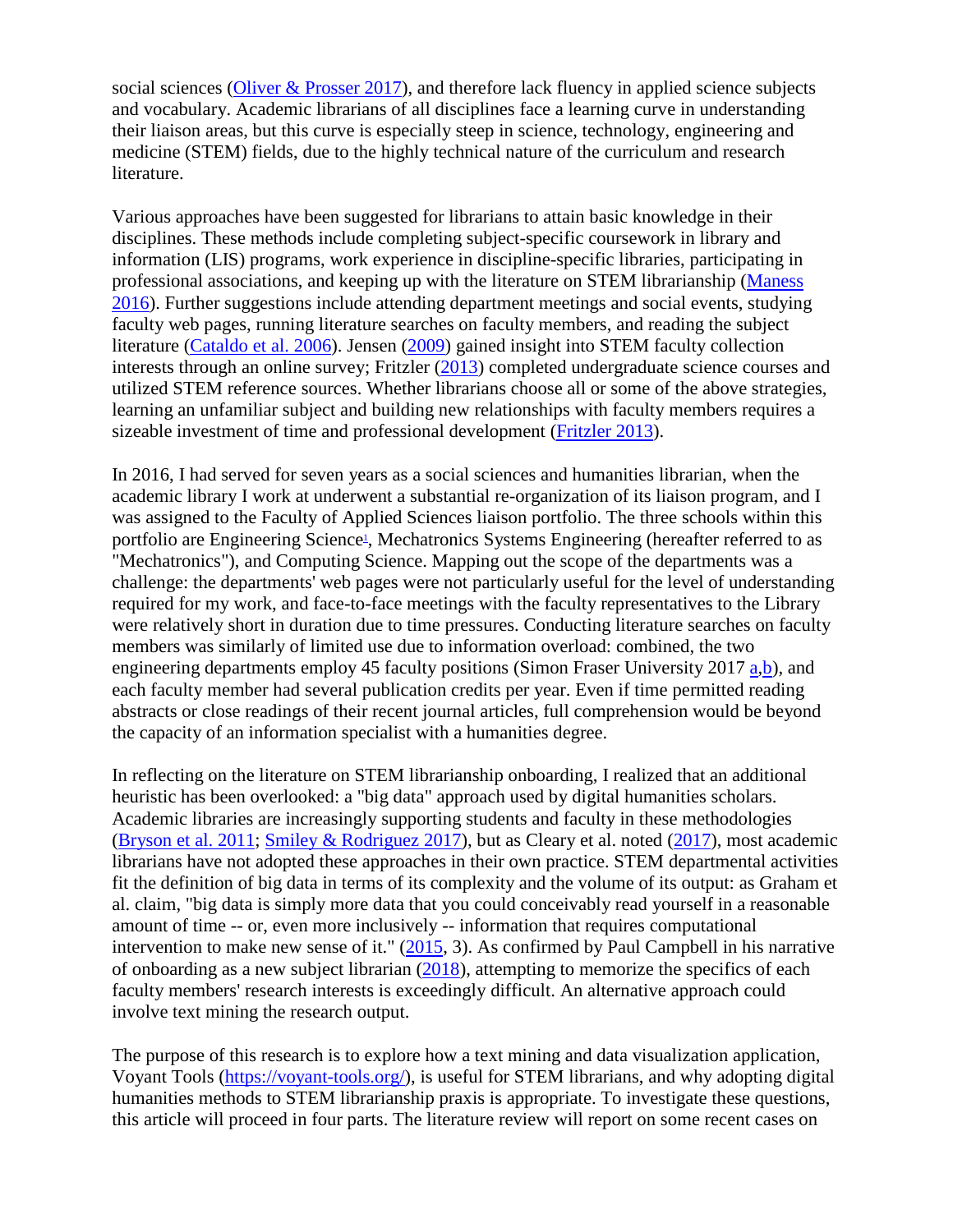social sciences [\(Oliver & Prosser 2017\)](#page-10-0), and therefore lack fluency in applied science subjects and vocabulary. Academic librarians of all disciplines face a learning curve in understanding their liaison areas, but this curve is especially steep in science, technology, engineering and medicine (STEM) fields, due to the highly technical nature of the curriculum and research literature.

Various approaches have been suggested for librarians to attain basic knowledge in their disciplines. These methods include completing subject-specific coursework in library and information (LIS) programs, work experience in discipline-specific libraries, participating in professional associations, and keeping up with the literature on STEM librarianship [\(Maness](#page-10-1)  [2016\)](#page-10-1). Further suggestions include attending department meetings and social events, studying faculty web pages, running literature searches on faculty members, and reading the subject literature [\(Cataldo et al. 2006\)](#page-9-2). Jensen [\(2009\)](#page-10-2) gained insight into STEM faculty collection interests through an online survey; Fritzler [\(2013\)](#page-9-3) completed undergraduate science courses and utilized STEM reference sources. Whether librarians choose all or some of the above strategies, learning an unfamiliar subject and building new relationships with faculty members requires a sizeable investment of time and professional development [\(Fritzler 2013\)](#page-9-3).

In 2016, I had served for seven years as a social sciences and humanities librarian, when the academic library I work at underwent a substantial re-organization of its liaison program, and I was assigned to the Faculty of Applied Sciences liaison portfolio. The three schools within this portfolio are Engineering Scienc[e1,](#page-9-4) Mechatronics Systems Engineering (hereafter referred to as "Mechatronics"), and Computing Science. Mapping out the scope of the departments was a challenge: the departments' web pages were not particularly useful for the level of understanding required for my work, and face-to-face meetings with the faculty representatives to the Library were relatively short in duration due to time pressures. Conducting literature searches on faculty members was similarly of limited use due to information overload: combined, the two engineering departments employ 45 faculty positions (Simon Fraser University 2017 [a,](#page-10-3)[b\)](#page-10-4), and each faculty member had several publication credits per year. Even if time permitted reading abstracts or close readings of their recent journal articles, full comprehension would be beyond the capacity of an information specialist with a humanities degree.

In reflecting on the literature on STEM librarianship onboarding, I realized that an additional heuristic has been overlooked: a "big data" approach used by digital humanities scholars. Academic libraries are increasingly supporting students and faculty in these methodologies [\(Bryson et al. 2011;](#page-9-5) [Smiley & Rodriguez 2017\)](#page-10-5), but as Cleary et al. noted [\(2017\)](#page-9-6), most academic librarians have not adopted these approaches in their own practice. STEM departmental activities fit the definition of big data in terms of its complexity and the volume of its output: as Graham et al. claim, "big data is simply more data that you could conceivably read yourself in a reasonable amount of time -- or, even more inclusively -- information that requires computational intervention to make new sense of it." [\(2015,](#page-10-6) 3). As confirmed by Paul Campbell in his narrative of onboarding as a new subject librarian [\(2018\)](#page-9-7), attempting to memorize the specifics of each faculty members' research interests is exceedingly difficult. An alternative approach could involve text mining the research output.

The purpose of this research is to explore how a text mining and data visualization application, Voyant Tools [\(https://voyant-tools.org/\)](https://voyant-tools.org/), is useful for STEM librarians, and why adopting digital humanities methods to STEM librarianship praxis is appropriate. To investigate these questions, this article will proceed in four parts. The literature review will report on some recent cases on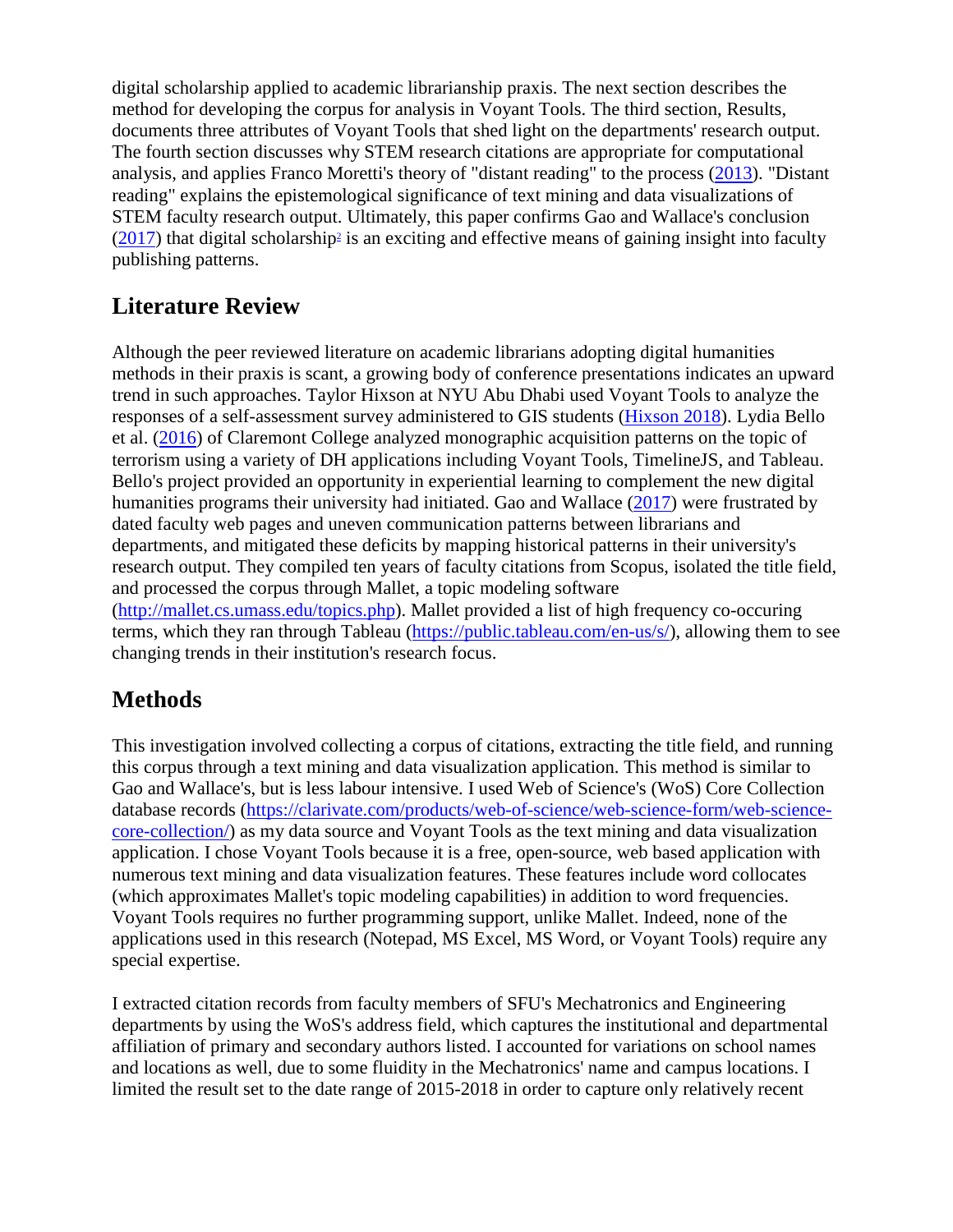digital scholarship applied to academic librarianship praxis. The next section describes the method for developing the corpus for analysis in Voyant Tools. The third section, Results, documents three attributes of Voyant Tools that shed light on the departments' research output. The fourth section discusses why STEM research citations are appropriate for computational analysis, and applies Franco Moretti's theory of "distant reading" to the process [\(2013\)](#page-10-7). "Distant reading" explains the epistemological significance of text mining and data visualizations of STEM faculty research output. Ultimately, this paper confirms Gao and Wallace's conclusion  $(2017)$  that digital scholarship<sup>2</sup> is an exciting and effective means of gaining insight into faculty publishing patterns.

# **Literature Review**

Although the peer reviewed literature on academic librarians adopting digital humanities methods in their praxis is scant, a growing body of conference presentations indicates an upward trend in such approaches. Taylor Hixson at NYU Abu Dhabi used Voyant Tools to analyze the responses of a self-assessment survey administered to GIS students [\(Hixson 2018\)](#page-10-8). Lydia Bello et al. [\(2016\)](#page-9-9) of Claremont College analyzed monographic acquisition patterns on the topic of terrorism using a variety of DH applications including Voyant Tools, TimelineJS, and Tableau. Bello's project provided an opportunity in experiential learning to complement the new digital humanities programs their university had initiated. Gao and Wallace [\(2017\)](#page-9-1) were frustrated by dated faculty web pages and uneven communication patterns between librarians and departments, and mitigated these deficits by mapping historical patterns in their university's research output. They compiled ten years of faculty citations from Scopus, isolated the title field, and processed the corpus through Mallet, a topic modeling software [\(http://mallet.cs.umass.edu/topics.php\)](http://mallet.cs.umass.edu/topics.php). Mallet provided a list of high frequency co-occuring terms, which they ran through Tableau [\(https://public.tableau.com/en-us/s/\)](https://public.tableau.com/en-us/s/), allowing them to see changing trends in their institution's research focus.

# **Methods**

This investigation involved collecting a corpus of citations, extracting the title field, and running this corpus through a text mining and data visualization application. This method is similar to Gao and Wallace's, but is less labour intensive. I used Web of Science's (WoS) Core Collection database records [\(https://clarivate.com/products/web-of-science/web-science-form/web-science](https://clarivate.com/products/web-of-science/web-science-form/web-science-core-collection/)[core-collection/\)](https://clarivate.com/products/web-of-science/web-science-form/web-science-core-collection/) as my data source and Voyant Tools as the text mining and data visualization application. I chose Voyant Tools because it is a free, open-source, web based application with numerous text mining and data visualization features. These features include word collocates (which approximates Mallet's topic modeling capabilities) in addition to word frequencies. Voyant Tools requires no further programming support, unlike Mallet. Indeed, none of the applications used in this research (Notepad, MS Excel, MS Word, or Voyant Tools) require any special expertise.

I extracted citation records from faculty members of SFU's Mechatronics and Engineering departments by using the WoS's address field, which captures the institutional and departmental affiliation of primary and secondary authors listed. I accounted for variations on school names and locations as well, due to some fluidity in the Mechatronics' name and campus locations. I limited the result set to the date range of 2015-2018 in order to capture only relatively recent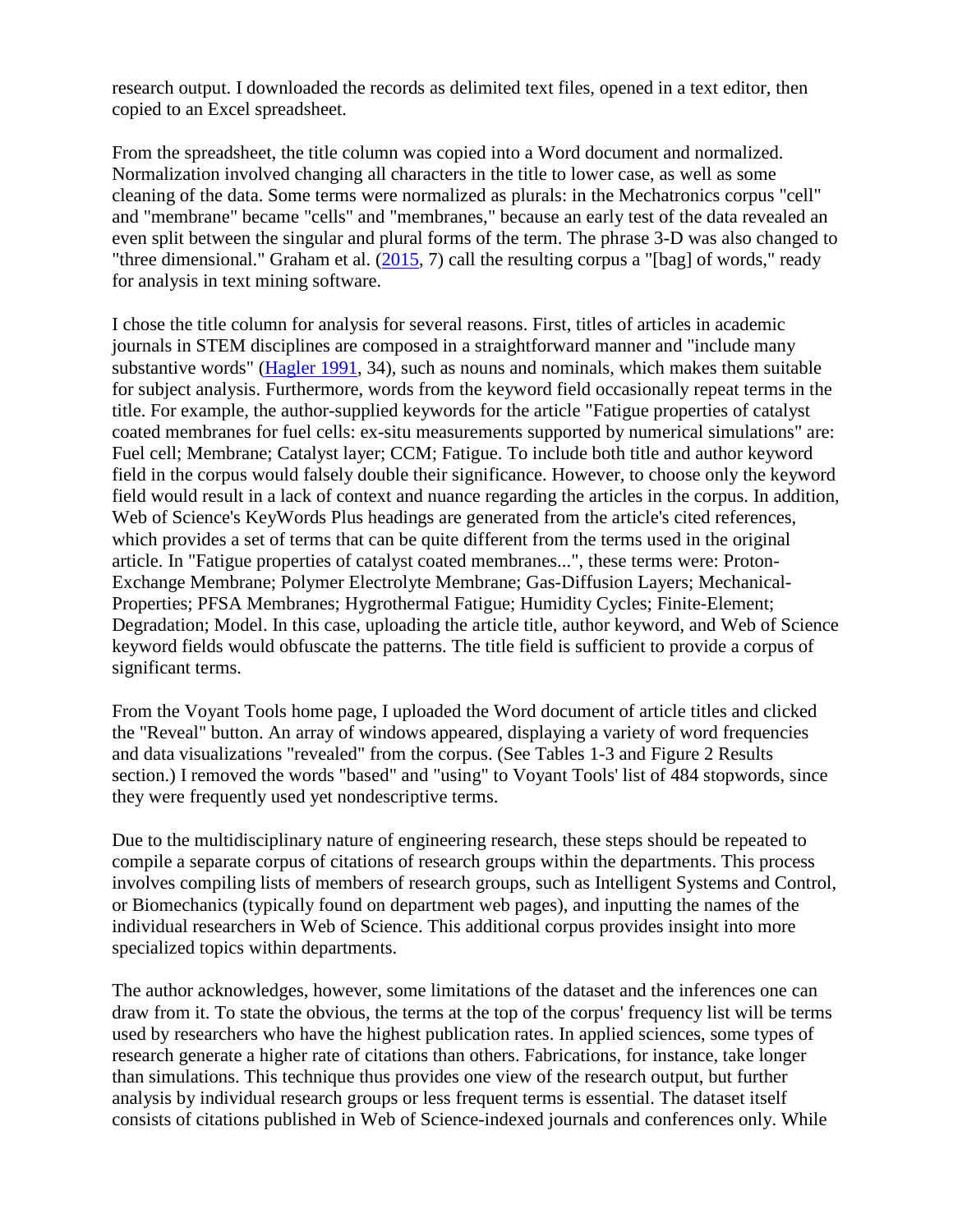research output. I downloaded the records as delimited text files, opened in a text editor, then copied to an Excel spreadsheet.

From the spreadsheet, the title column was copied into a Word document and normalized. Normalization involved changing all characters in the title to lower case, as well as some cleaning of the data. Some terms were normalized as plurals: in the Mechatronics corpus "cell" and "membrane" became "cells" and "membranes," because an early test of the data revealed an even split between the singular and plural forms of the term. The phrase 3-D was also changed to "three dimensional." Graham et al. [\(2015,](#page-10-6) 7) call the resulting corpus a "[bag] of words," ready for analysis in text mining software.

I chose the title column for analysis for several reasons. First, titles of articles in academic journals in STEM disciplines are composed in a straightforward manner and "include many substantive words" [\(Hagler 1991,](#page-10-9) 34), such as nouns and nominals, which makes them suitable for subject analysis. Furthermore, words from the keyword field occasionally repeat terms in the title. For example, the author-supplied keywords for the article "Fatigue properties of catalyst coated membranes for fuel cells: ex-situ measurements supported by numerical simulations" are: Fuel cell; Membrane; Catalyst layer; CCM; Fatigue. To include both title and author keyword field in the corpus would falsely double their significance. However, to choose only the keyword field would result in a lack of context and nuance regarding the articles in the corpus. In addition, Web of Science's KeyWords Plus headings are generated from the article's cited references, which provides a set of terms that can be quite different from the terms used in the original article. In "Fatigue properties of catalyst coated membranes...", these terms were: Proton-Exchange Membrane; Polymer Electrolyte Membrane; Gas-Diffusion Layers; Mechanical-Properties; PFSA Membranes; Hygrothermal Fatigue; Humidity Cycles; Finite-Element; Degradation; Model. In this case, uploading the article title, author keyword, and Web of Science keyword fields would obfuscate the patterns. The title field is sufficient to provide a corpus of significant terms.

From the Voyant Tools home page, I uploaded the Word document of article titles and clicked the "Reveal" button. An array of windows appeared, displaying a variety of word frequencies and data visualizations "revealed" from the corpus. (See Tables 1-3 and Figure 2 Results section.) I removed the words "based" and "using" to Voyant Tools' list of 484 stopwords, since they were frequently used yet nondescriptive terms.

Due to the multidisciplinary nature of engineering research, these steps should be repeated to compile a separate corpus of citations of research groups within the departments. This process involves compiling lists of members of research groups, such as Intelligent Systems and Control, or Biomechanics (typically found on department web pages), and inputting the names of the individual researchers in Web of Science. This additional corpus provides insight into more specialized topics within departments.

The author acknowledges, however, some limitations of the dataset and the inferences one can draw from it. To state the obvious, the terms at the top of the corpus' frequency list will be terms used by researchers who have the highest publication rates. In applied sciences, some types of research generate a higher rate of citations than others. Fabrications, for instance, take longer than simulations. This technique thus provides one view of the research output, but further analysis by individual research groups or less frequent terms is essential. The dataset itself consists of citations published in Web of Science-indexed journals and conferences only. While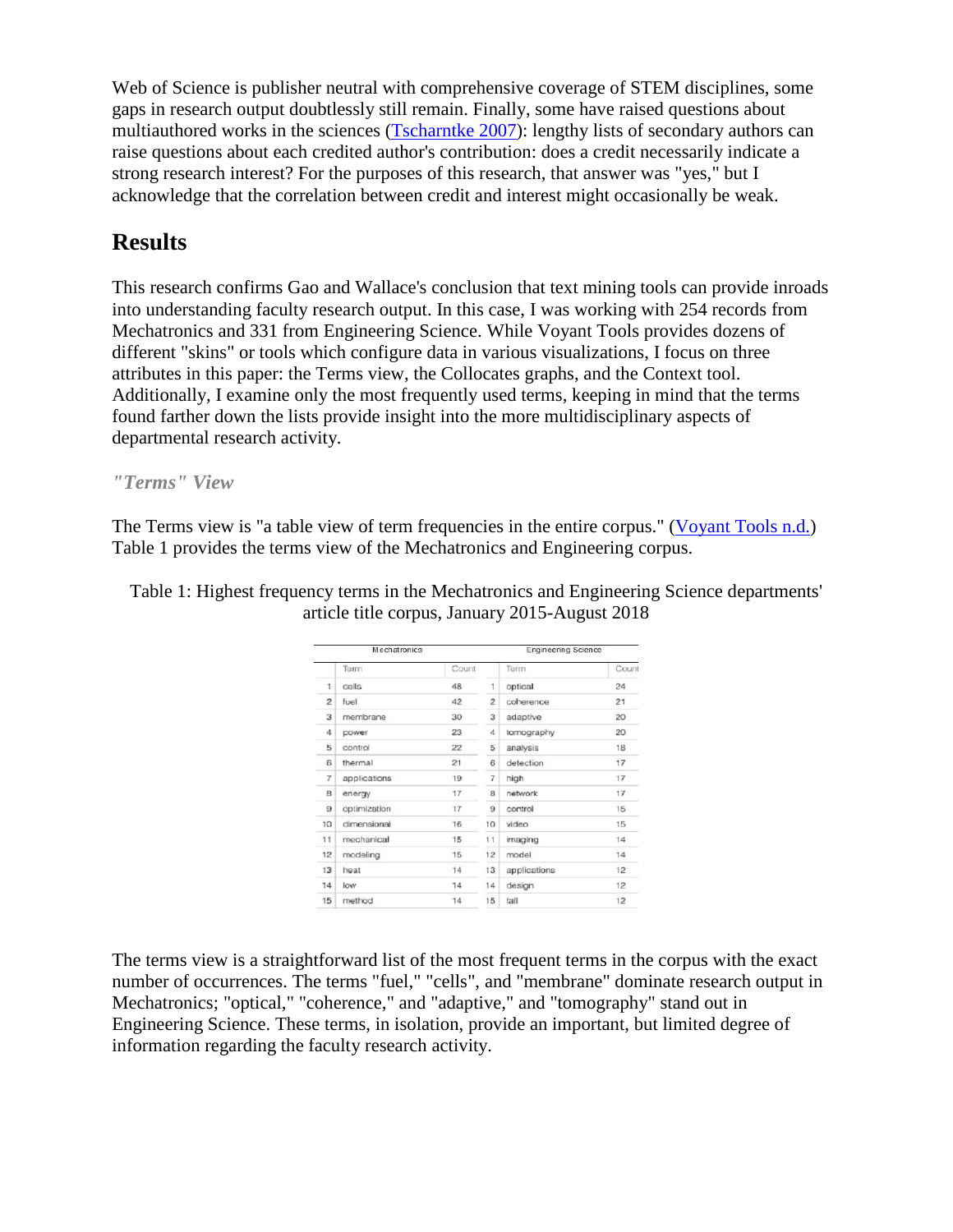Web of Science is publisher neutral with comprehensive coverage of STEM disciplines, some gaps in research output doubtlessly still remain. Finally, some have raised questions about multiauthored works in the sciences [\(Tscharntke 2007\)](#page-11-2): lengthy lists of secondary authors can raise questions about each credited author's contribution: does a credit necessarily indicate a strong research interest? For the purposes of this research, that answer was "yes," but I acknowledge that the correlation between credit and interest might occasionally be weak.

# **Results**

This research confirms Gao and Wallace's conclusion that text mining tools can provide inroads into understanding faculty research output. In this case, I was working with 254 records from Mechatronics and 331 from Engineering Science. While Voyant Tools provides dozens of different "skins" or tools which configure data in various visualizations, I focus on three attributes in this paper: the Terms view, the Collocates graphs, and the Context tool. Additionally, I examine only the most frequently used terms, keeping in mind that the terms found farther down the lists provide insight into the more multidisciplinary aspects of departmental research activity.

*"Terms" View*

The Terms view is "a table view of term frequencies in the entire corpus." [\(Voyant Tools n.d.\)](#page-11-3) Table 1 provides the terms view of the Mechatronics and Engineering corpus.

Table 1: Highest frequency terms in the Mechatronics and Engineering Science departments' article title corpus, January 2015-August 2018

| Mechatronics   |              |       |                | <b>Engineering Science</b> |       |  |
|----------------|--------------|-------|----------------|----------------------------|-------|--|
|                | Term         | Count |                | Term                       | Count |  |
| 1              | cells        | 48    | 1              | optical                    | 24    |  |
| $\overline{c}$ | fuel         | 42    | $\overline{c}$ | coherence                  | 21    |  |
| 3              | membrane     | 30    | 3              | adaptive                   | 20    |  |
| 4              | power        | 23    | 4              | tomography                 | 20    |  |
| 5              | control      | 22    | 5              | analysis                   | 18    |  |
| 6              | thermal      | 21    | 6              | detection                  | 17    |  |
| $\overline{7}$ | applications | 19    | 7              | high                       | 17    |  |
| 8              | energy       | 17    | 8              | network                    | 17    |  |
| 9              | optimization | 17    | 9              | control                    | 15    |  |
| 10             | dimensional  | 16    | 10             | video                      | 15    |  |
| 11             | mechanical   | 15    | 11             | imaging                    | 14    |  |
| 12             | modeling     | 15    | 12             | model                      | 14    |  |
| 13             | heat         | 14    | 13             | applications               | 12    |  |
| 14             | low          | 14    | 14             | design                     | 12    |  |
| 15             | method       | 14    | 15             | fall                       | 12    |  |

The terms view is a straightforward list of the most frequent terms in the corpus with the exact number of occurrences. The terms "fuel," "cells", and "membrane" dominate research output in Mechatronics; "optical," "coherence," and "adaptive," and "tomography" stand out in Engineering Science. These terms, in isolation, provide an important, but limited degree of information regarding the faculty research activity.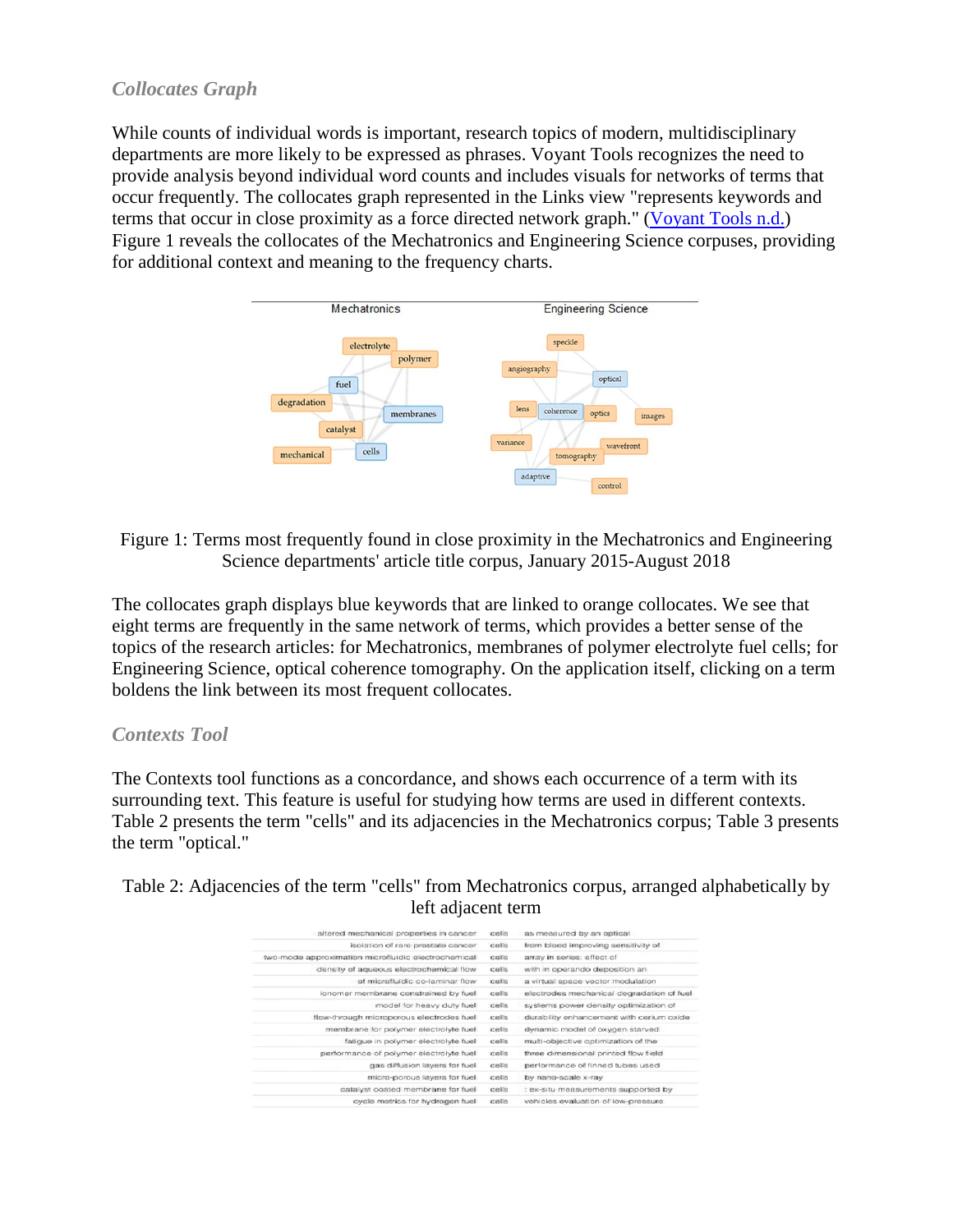#### *Collocates Graph*

While counts of individual words is important, research topics of modern, multidisciplinary departments are more likely to be expressed as phrases. Voyant Tools recognizes the need to provide analysis beyond individual word counts and includes visuals for networks of terms that occur frequently. The collocates graph represented in the Links view "represents keywords and terms that occur in close proximity as a force directed network graph." [\(Voyant Tools n.d.\)](#page-11-3) Figure 1 reveals the collocates of the Mechatronics and Engineering Science corpuses, providing for additional context and meaning to the frequency charts.



Figure 1: Terms most frequently found in close proximity in the Mechatronics and Engineering Science departments' article title corpus, January 2015-August 2018

The collocates graph displays blue keywords that are linked to orange collocates. We see that eight terms are frequently in the same network of terms, which provides a better sense of the topics of the research articles: for Mechatronics, membranes of polymer electrolyte fuel cells; for Engineering Science, optical coherence tomography. On the application itself, clicking on a term boldens the link between its most frequent collocates.

#### *Contexts Tool*

The Contexts tool functions as a concordance, and shows each occurrence of a term with its surrounding text. This feature is useful for studying how terms are used in different contexts. Table 2 presents the term "cells" and its adjacencies in the Mechatronics corpus; Table 3 presents the term "optical."

Table 2: Adjacencies of the term "cells" from Mechatronics corpus, arranged alphabetically by left adjacent term

| altered mechanical properties in cancer             | cells | as measured by an optical                 |
|-----------------------------------------------------|-------|-------------------------------------------|
| isolation of rare prostate cancer                   | cells | trom blood improving sensitivity of       |
| two-mode approximation microfluidic electrochemical | cells | array in series: effect of                |
| density of aqueous electrochemical flow             | cells | with in operando deposition an            |
| of microfiuidic co-laminar flow                     | cells | a virtual space vector modulation         |
| ionomer membrane constrained by fuel                | cells | electrodes mechanical degradation of fuel |
| model for heavy duty fuel                           | cells | systems power density optimization of     |
| flow-through microporous electrodes fuel            | cells | durability enhancement with cerium oxide  |
| mambrane for polymer electrolyte fuel               | cells | dynamic model of oxygen starved           |
| fatious in polymer electrolyte fuel                 | cells | multi-objective optimization of the       |
| performance of polymer electrolyte fuel             | cells | three dimensional printed flow field      |
| gas diffusion layers for fuel                       | cells | performance of finned tubes used          |
| micro-porous layers for fuel                        | cells | by nano-scale x-ray                       |
| catalyst coated membrane for fuel                   | cells | : ex-situ measurements supported by       |
| cycle metrics for hydrogen fuel                     | cells | vehicles evaluation of low-oressure       |
|                                                     |       |                                           |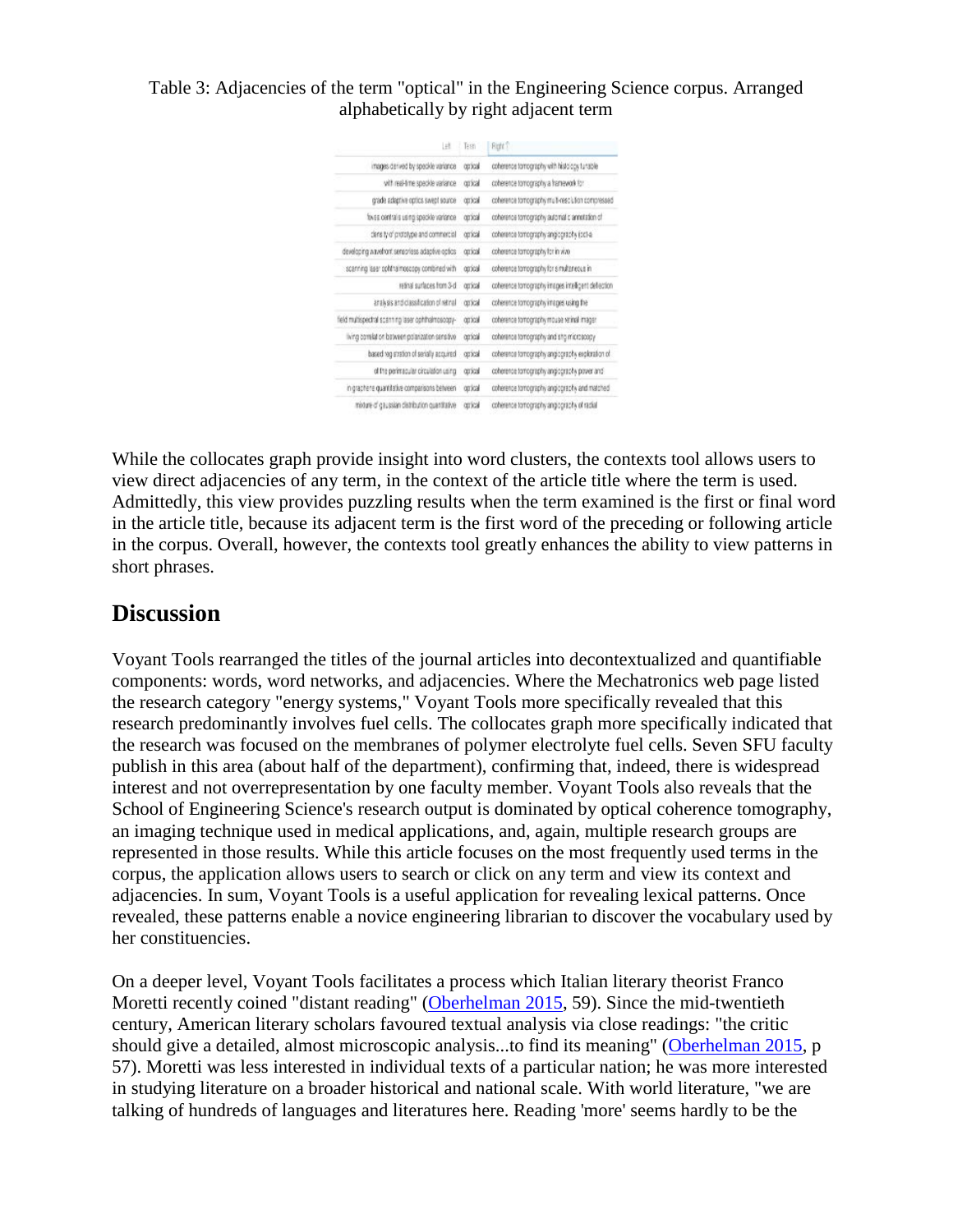#### Table 3: Adjacencies of the term "optical" in the Engineering Science corpus. Arranged alphabetically by right adjacent term

| Ħ                                                  | Testi    | Right <sup>2</sup>                                 |
|----------------------------------------------------|----------|----------------------------------------------------|
| images derived by speckle variance                 | tocco    | coherence tomography with histology tunable        |
| with real-time speckle variance.                   | orixal   | coherence tomography a framework for               |
| grade askerive optics swept source                 | coical   | coherence tomography mult-resclution compressed    |
| foves central s using specifie variance            | eccio    | coherence tomography automalic annotation of       |
| dens ty of prototype and commercial                | opical   | coherence tomography angiography (oct-a)           |
| developing wavelvont sensoriess adaptive optics    | optical  | coherence tomography for in www.                   |
| scanning laser cold raimoscopy combined with       | opical   | coherence tomography for simultaneous in           |
| retinal surfaces from 3-d                          | optical  | coherence tomography images intelligent deflection |
| aralysis and classification of retinal             | corrical | coherence tomography images using the              |
| field multispectral scanning laser ophthalmosoopy- | concal   | coherence tomography mouse reinal imager.          |
| living comilation between polarization sensitive   | opical   | coherence tomography and stip microscopy           |
| based vag stration of serially acquired            | concal   | coherence tomography angiography exploration of    |
| of the perimecular circulation using               | corical  | coherence tomography angiography power and         |
| in graphene quantitative comparisons between       | cortical | coherence tomography angiography and matched       |
| moture of gaussian distribution quantitative       | opical   | coherence torrography angiography of radial        |

While the collocates graph provide insight into word clusters, the contexts tool allows users to view direct adjacencies of any term, in the context of the article title where the term is used. Admittedly, this view provides puzzling results when the term examined is the first or final word in the article title, because its adjacent term is the first word of the preceding or following article in the corpus. Overall, however, the contexts tool greatly enhances the ability to view patterns in short phrases.

### **Discussion**

Voyant Tools rearranged the titles of the journal articles into decontextualized and quantifiable components: words, word networks, and adjacencies. Where the Mechatronics web page listed the research category "energy systems," Voyant Tools more specifically revealed that this research predominantly involves fuel cells. The collocates graph more specifically indicated that the research was focused on the membranes of polymer electrolyte fuel cells. Seven SFU faculty publish in this area (about half of the department), confirming that, indeed, there is widespread interest and not overrepresentation by one faculty member. Voyant Tools also reveals that the School of Engineering Science's research output is dominated by optical coherence tomography, an imaging technique used in medical applications, and, again, multiple research groups are represented in those results. While this article focuses on the most frequently used terms in the corpus, the application allows users to search or click on any term and view its context and adjacencies. In sum, Voyant Tools is a useful application for revealing lexical patterns. Once revealed, these patterns enable a novice engineering librarian to discover the vocabulary used by her constituencies.

On a deeper level, Voyant Tools facilitates a process which Italian literary theorist Franco Moretti recently coined "distant reading" [\(Oberhelman 2015,](#page-10-10) 59). Since the mid-twentieth century, American literary scholars favoured textual analysis via close readings: "the critic should give a detailed, almost microscopic analysis...to find its meaning" [\(Oberhelman 2015,](#page-10-10) p 57). Moretti was less interested in individual texts of a particular nation; he was more interested in studying literature on a broader historical and national scale. With world literature, "we are talking of hundreds of languages and literatures here. Reading 'more' seems hardly to be the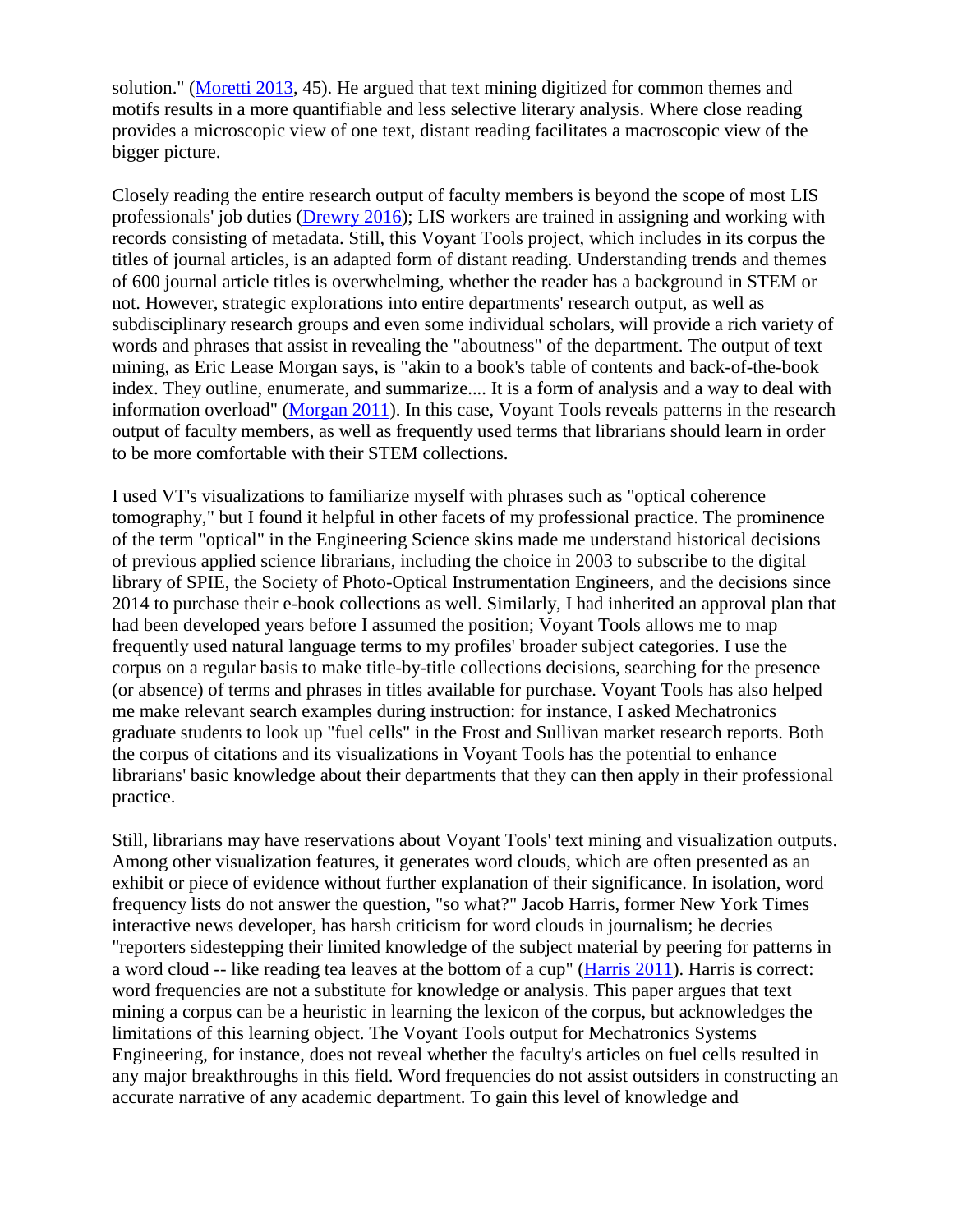solution." [\(Moretti 2013,](#page-10-7) 45). He argued that text mining digitized for common themes and motifs results in a more quantifiable and less selective literary analysis. Where close reading provides a microscopic view of one text, distant reading facilitates a macroscopic view of the bigger picture.

Closely reading the entire research output of faculty members is beyond the scope of most LIS professionals' job duties [\(Drewry 2016\)](#page-9-0); LIS workers are trained in assigning and working with records consisting of metadata. Still, this Voyant Tools project, which includes in its corpus the titles of journal articles, is an adapted form of distant reading. Understanding trends and themes of 600 journal article titles is overwhelming, whether the reader has a background in STEM or not. However, strategic explorations into entire departments' research output, as well as subdisciplinary research groups and even some individual scholars, will provide a rich variety of words and phrases that assist in revealing the "aboutness" of the department. The output of text mining, as Eric Lease Morgan says, is "akin to a book's table of contents and back-of-the-book index. They outline, enumerate, and summarize.... It is a form of analysis and a way to deal with information overload" [\(Morgan 2011\)](#page-10-11). In this case, Voyant Tools reveals patterns in the research output of faculty members, as well as frequently used terms that librarians should learn in order to be more comfortable with their STEM collections.

I used VT's visualizations to familiarize myself with phrases such as "optical coherence tomography," but I found it helpful in other facets of my professional practice. The prominence of the term "optical" in the Engineering Science skins made me understand historical decisions of previous applied science librarians, including the choice in 2003 to subscribe to the digital library of SPIE, the Society of Photo-Optical Instrumentation Engineers, and the decisions since 2014 to purchase their e-book collections as well. Similarly, I had inherited an approval plan that had been developed years before I assumed the position; Voyant Tools allows me to map frequently used natural language terms to my profiles' broader subject categories. I use the corpus on a regular basis to make title-by-title collections decisions, searching for the presence (or absence) of terms and phrases in titles available for purchase. Voyant Tools has also helped me make relevant search examples during instruction: for instance, I asked Mechatronics graduate students to look up "fuel cells" in the Frost and Sullivan market research reports. Both the corpus of citations and its visualizations in Voyant Tools has the potential to enhance librarians' basic knowledge about their departments that they can then apply in their professional practice.

Still, librarians may have reservations about Voyant Tools' text mining and visualization outputs. Among other visualization features, it generates word clouds, which are often presented as an exhibit or piece of evidence without further explanation of their significance. In isolation, word frequency lists do not answer the question, "so what?" Jacob Harris, former New York Times interactive news developer, has harsh criticism for word clouds in journalism; he decries "reporters sidestepping their limited knowledge of the subject material by peering for patterns in a word cloud -- like reading tea leaves at the bottom of a cup" [\(Harris 2011\)](#page-10-12). Harris is correct: word frequencies are not a substitute for knowledge or analysis. This paper argues that text mining a corpus can be a heuristic in learning the lexicon of the corpus, but acknowledges the limitations of this learning object. The Voyant Tools output for Mechatronics Systems Engineering, for instance, does not reveal whether the faculty's articles on fuel cells resulted in any major breakthroughs in this field. Word frequencies do not assist outsiders in constructing an accurate narrative of any academic department. To gain this level of knowledge and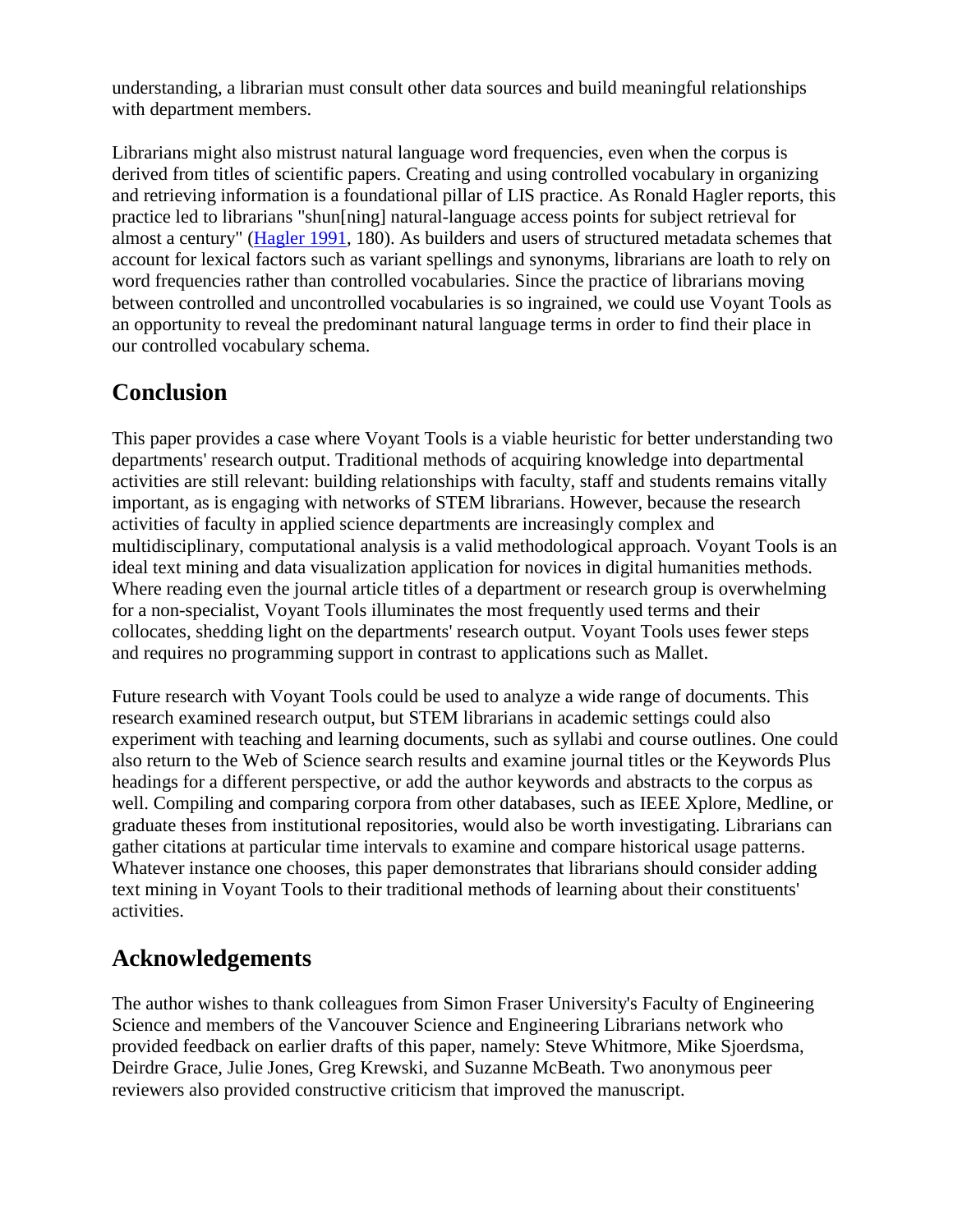understanding, a librarian must consult other data sources and build meaningful relationships with department members.

Librarians might also mistrust natural language word frequencies, even when the corpus is derived from titles of scientific papers. Creating and using controlled vocabulary in organizing and retrieving information is a foundational pillar of LIS practice. As Ronald Hagler reports, this practice led to librarians "shun[ning] natural-language access points for subject retrieval for almost a century" [\(Hagler 1991,](#page-10-9) 180). As builders and users of structured metadata schemes that account for lexical factors such as variant spellings and synonyms, librarians are loath to rely on word frequencies rather than controlled vocabularies. Since the practice of librarians moving between controlled and uncontrolled vocabularies is so ingrained, we could use Voyant Tools as an opportunity to reveal the predominant natural language terms in order to find their place in our controlled vocabulary schema.

# **Conclusion**

This paper provides a case where Voyant Tools is a viable heuristic for better understanding two departments' research output. Traditional methods of acquiring knowledge into departmental activities are still relevant: building relationships with faculty, staff and students remains vitally important, as is engaging with networks of STEM librarians. However, because the research activities of faculty in applied science departments are increasingly complex and multidisciplinary, computational analysis is a valid methodological approach. Voyant Tools is an ideal text mining and data visualization application for novices in digital humanities methods. Where reading even the journal article titles of a department or research group is overwhelming for a non-specialist, Voyant Tools illuminates the most frequently used terms and their collocates, shedding light on the departments' research output. Voyant Tools uses fewer steps and requires no programming support in contrast to applications such as Mallet.

Future research with Voyant Tools could be used to analyze a wide range of documents. This research examined research output, but STEM librarians in academic settings could also experiment with teaching and learning documents, such as syllabi and course outlines. One could also return to the Web of Science search results and examine journal titles or the Keywords Plus headings for a different perspective, or add the author keywords and abstracts to the corpus as well. Compiling and comparing corpora from other databases, such as IEEE Xplore, Medline, or graduate theses from institutional repositories, would also be worth investigating. Librarians can gather citations at particular time intervals to examine and compare historical usage patterns. Whatever instance one chooses, this paper demonstrates that librarians should consider adding text mining in Voyant Tools to their traditional methods of learning about their constituents' activities.

# **Acknowledgements**

The author wishes to thank colleagues from Simon Fraser University's Faculty of Engineering Science and members of the Vancouver Science and Engineering Librarians network who provided feedback on earlier drafts of this paper, namely: Steve Whitmore, Mike Sjoerdsma, Deirdre Grace, Julie Jones, Greg Krewski, and Suzanne McBeath. Two anonymous peer reviewers also provided constructive criticism that improved the manuscript.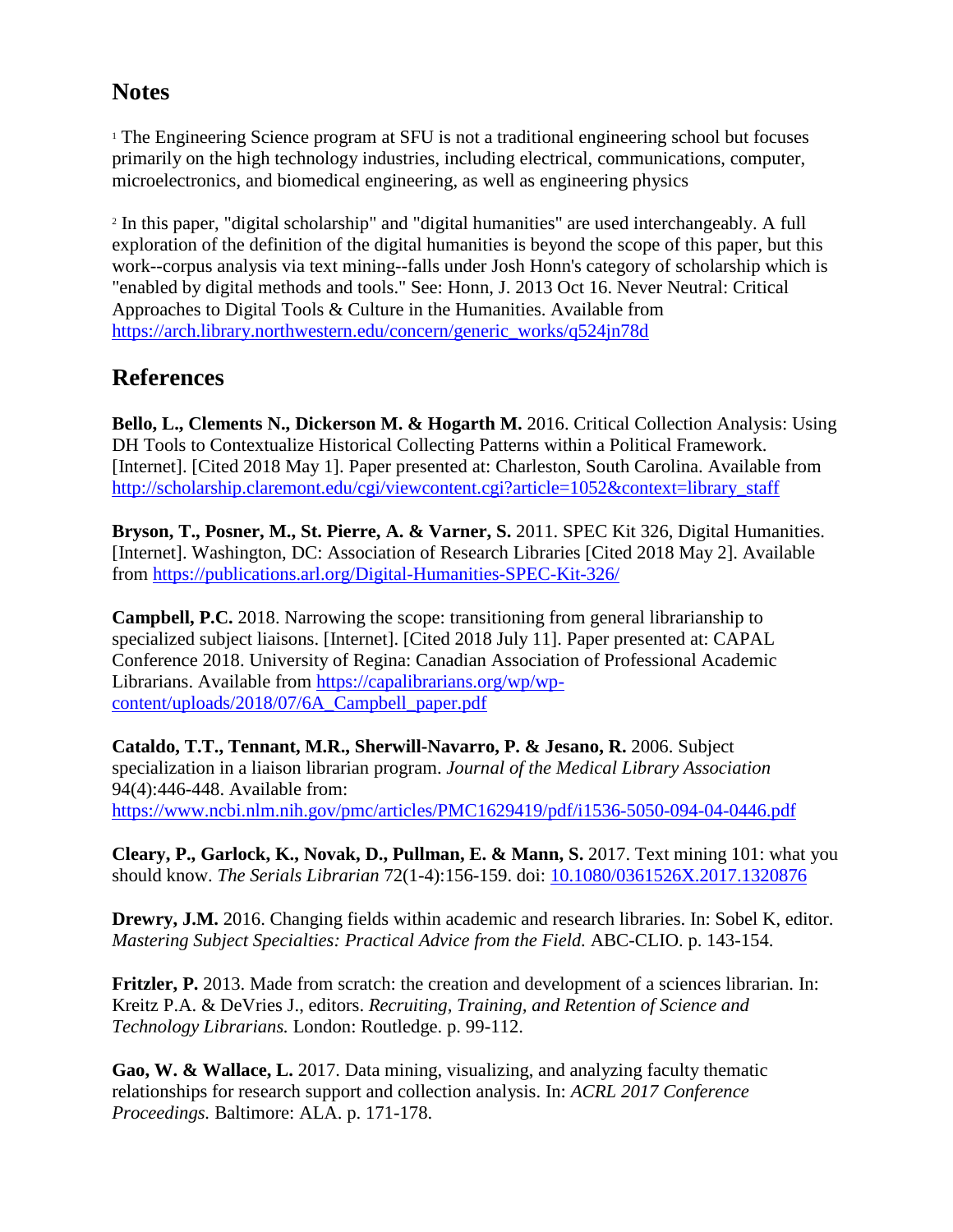# **Notes**

<span id="page-9-4"></span><sup>1</sup> The Engineering Science program at SFU is not a traditional engineering school but focuses primarily on the high technology industries, including electrical, communications, computer, microelectronics, and biomedical engineering, as well as engineering physics

<span id="page-9-8"></span><sup>2</sup> In this paper, "digital scholarship" and "digital humanities" are used interchangeably. A full exploration of the definition of the digital humanities is beyond the scope of this paper, but this work--corpus analysis via text mining--falls under Josh Honn's category of scholarship which is "enabled by digital methods and tools." See: Honn, J. 2013 Oct 16. Never Neutral: Critical Approaches to Digital Tools & Culture in the Humanities. Available from [https://arch.library.northwestern.edu/concern/generic\\_works/q524jn78d](https://arch.library.northwestern.edu/concern/generic_works/q524jn78d)

# **References**

<span id="page-9-9"></span>**Bello, L., Clements N., Dickerson M. & Hogarth M.** 2016. Critical Collection Analysis: Using DH Tools to Contextualize Historical Collecting Patterns within a Political Framework. [Internet]. [Cited 2018 May 1]. Paper presented at: Charleston, South Carolina. Available from [http://scholarship.claremont.edu/cgi/viewcontent.cgi?article=1052&context=library\\_staff](http://scholarship.claremont.edu/cgi/viewcontent.cgi?article=1052&context=library_staff)

<span id="page-9-5"></span>**Bryson, T., Posner, M., St. Pierre, A. & Varner, S.** 2011. SPEC Kit 326, Digital Humanities. [Internet]. Washington, DC: Association of Research Libraries [Cited 2018 May 2]. Available from<https://publications.arl.org/Digital-Humanities-SPEC-Kit-326/>

<span id="page-9-7"></span>**Campbell, P.C.** 2018. Narrowing the scope: transitioning from general librarianship to specialized subject liaisons. [Internet]. [Cited 2018 July 11]. Paper presented at: CAPAL Conference 2018. University of Regina: Canadian Association of Professional Academic Librarians. Available from [https://capalibrarians.org/wp/wp](https://capalibrarians.org/wp/wp-content/uploads/2018/07/6A_Campbell_paper.pdf)[content/uploads/2018/07/6A\\_Campbell\\_paper.pdf](https://capalibrarians.org/wp/wp-content/uploads/2018/07/6A_Campbell_paper.pdf)

<span id="page-9-2"></span>**Cataldo, T.T., Tennant, M.R., Sherwill-Navarro, P. & Jesano, R.** 2006. Subject specialization in a liaison librarian program. *Journal of the Medical Library Association* 94(4):446-448. Available from: <https://www.ncbi.nlm.nih.gov/pmc/articles/PMC1629419/pdf/i1536-5050-094-04-0446.pdf>

<span id="page-9-6"></span>**Cleary, P., Garlock, K., Novak, D., Pullman, E. & Mann, S.** 2017. Text mining 101: what you should know. *The Serials Librarian* 72(1-4):156-159. doi: [10.1080/0361526X.2017.1320876](http://dx.doi.org/10.1080/0361526X.2017.1320876)

<span id="page-9-0"></span>**Drewry, J.M.** 2016. Changing fields within academic and research libraries. In: Sobel K, editor. *Mastering Subject Specialties: Practical Advice from the Field.* ABC-CLIO. p. 143-154.

<span id="page-9-3"></span>Fritzler, P. 2013. Made from scratch: the creation and development of a sciences librarian. In: Kreitz P.A. & DeVries J., editors. *Recruiting, Training, and Retention of Science and Technology Librarians.* London: Routledge. p. 99-112.

<span id="page-9-1"></span>**Gao, W. & Wallace, L.** 2017. Data mining, visualizing, and analyzing faculty thematic relationships for research support and collection analysis. In: *ACRL 2017 Conference Proceedings.* Baltimore: ALA. p. 171-178.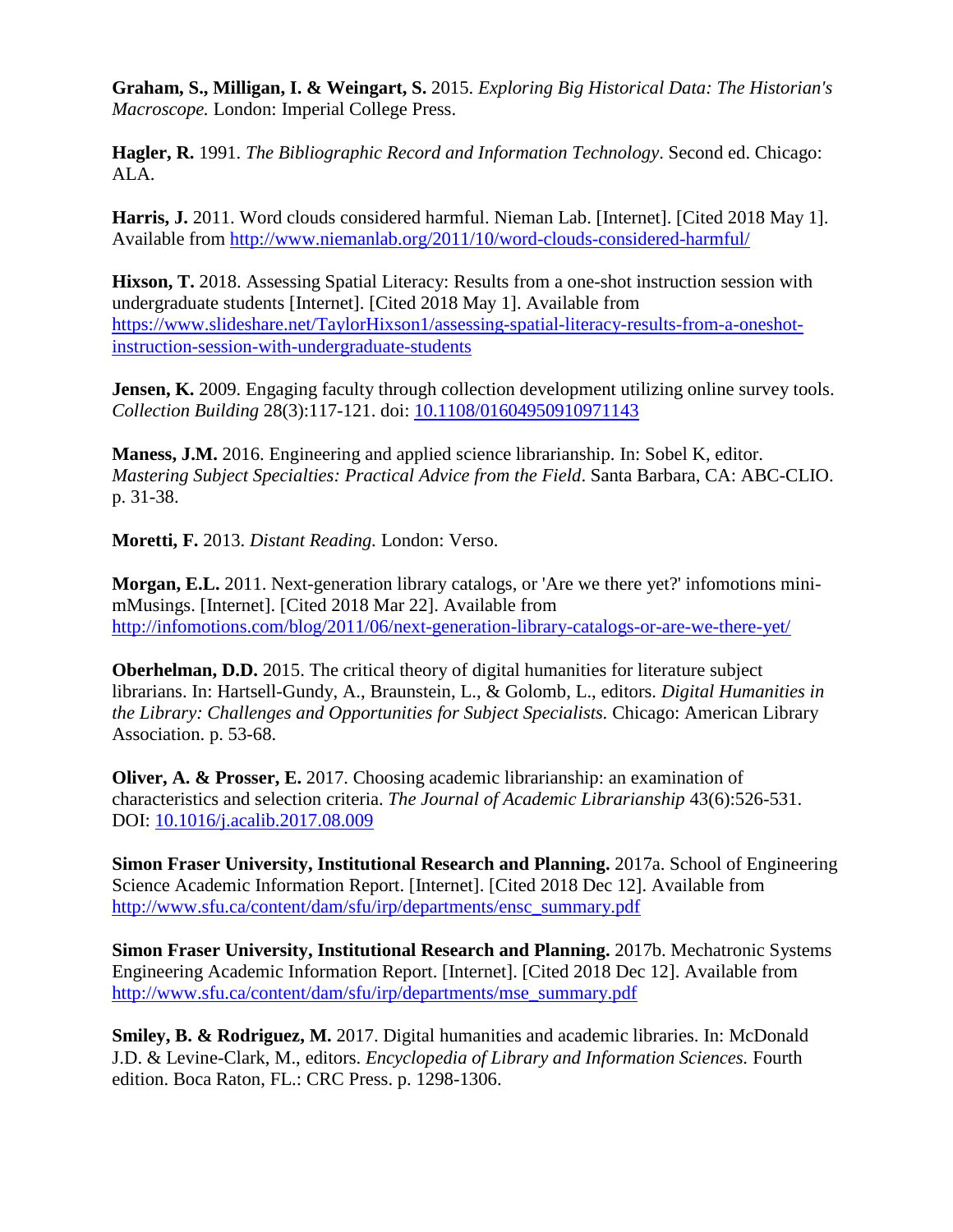<span id="page-10-6"></span>**Graham, S., Milligan, I. & Weingart, S.** 2015. *Exploring Big Historical Data: The Historian's Macroscope.* London: Imperial College Press.

<span id="page-10-9"></span>**Hagler, R.** 1991. *The Bibliographic Record and Information Technology*. Second ed. Chicago: ALA.

<span id="page-10-12"></span>**Harris, J.** 2011. Word clouds considered harmful. Nieman Lab. [Internet]. [Cited 2018 May 1]. Available from<http://www.niemanlab.org/2011/10/word-clouds-considered-harmful/>

<span id="page-10-8"></span>**Hixson, T.** 2018. Assessing Spatial Literacy: Results from a one-shot instruction session with undergraduate students [Internet]. [Cited 2018 May 1]. Available from [https://www.slideshare.net/TaylorHixson1/assessing-spatial-literacy-results-from-a-oneshot](https://www.slideshare.net/TaylorHixson1/assessing-spatial-literacy-results-from-a-oneshot-instruction-session-with-undergraduate-students)[instruction-session-with-undergraduate-students](https://www.slideshare.net/TaylorHixson1/assessing-spatial-literacy-results-from-a-oneshot-instruction-session-with-undergraduate-students)

<span id="page-10-2"></span>**Jensen, K.** 2009. Engaging faculty through collection development utilizing online survey tools. *Collection Building* 28(3):117-121. doi: [10.1108/01604950910971143](http://dx.doi.org/10.1108/01604950910971143)

<span id="page-10-1"></span>**Maness, J.M.** 2016. Engineering and applied science librarianship. In: Sobel K, editor. *Mastering Subject Specialties: Practical Advice from the Field*. Santa Barbara, CA: ABC-CLIO. p. 31-38.

<span id="page-10-7"></span>**Moretti, F.** 2013. *Distant Reading.* London: Verso.

<span id="page-10-11"></span>**Morgan, E.L.** 2011. Next-generation library catalogs, or 'Are we there yet?' infomotions minimMusings. [Internet]. [Cited 2018 Mar 22]. Available from <http://infomotions.com/blog/2011/06/next-generation-library-catalogs-or-are-we-there-yet/>

<span id="page-10-10"></span>**Oberhelman, D.D.** 2015. The critical theory of digital humanities for literature subject librarians. In: Hartsell-Gundy, A., Braunstein, L., & Golomb, L., editors. *Digital Humanities in the Library: Challenges and Opportunities for Subject Specialists.* Chicago: American Library Association. p. 53-68.

<span id="page-10-0"></span>**Oliver, A. & Prosser, E.** 2017. Choosing academic librarianship: an examination of characteristics and selection criteria. *The Journal of Academic Librarianship* 43(6):526-531. DOI: [10.1016/j.acalib.2017.08.009](http://dx.doi.org/10.1016/j.acalib.2017.08.009)

<span id="page-10-3"></span>**Simon Fraser University, Institutional Research and Planning.** 2017a. School of Engineering Science Academic Information Report. [Internet]. [Cited 2018 Dec 12]. Available from [http://www.sfu.ca/content/dam/sfu/irp/departments/ensc\\_summary.pdf](http://www.sfu.ca/content/dam/sfu/irp/departments/ensc_summary.pdf)

<span id="page-10-4"></span>**Simon Fraser University, Institutional Research and Planning.** 2017b. Mechatronic Systems Engineering Academic Information Report. [Internet]. [Cited 2018 Dec 12]. Available from [http://www.sfu.ca/content/dam/sfu/irp/departments/mse\\_summary.pdf](http://www.sfu.ca/content/dam/sfu/irp/departments/mse_summary.pdf)

<span id="page-10-5"></span>**Smiley, B. & Rodriguez, M.** 2017. Digital humanities and academic libraries. In: McDonald J.D. & Levine-Clark, M., editors. *Encyclopedia of Library and Information Sciences.* Fourth edition. Boca Raton, FL.: CRC Press. p. 1298-1306.